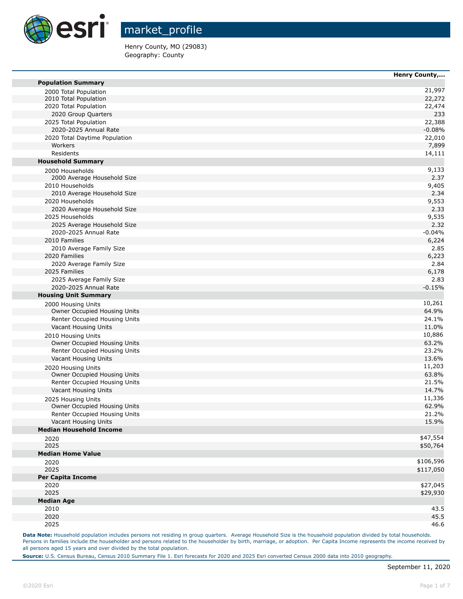

Henry County, MO (29083) Geography: County

|                                                    | nenry county, |
|----------------------------------------------------|---------------|
| <b>Population Summary</b>                          |               |
| 2000 Total Population                              | 21,997        |
| 2010 Total Population                              | 22,272        |
| 2020 Total Population                              | 22,474        |
| 2020 Group Quarters                                | 233           |
| 2025 Total Population                              | 22,388        |
| 2020-2025 Annual Rate                              | $-0.08%$      |
| 2020 Total Daytime Population                      | 22,010        |
| Workers                                            | 7,899         |
| Residents                                          | 14,111        |
| <b>Household Summary</b>                           |               |
| 2000 Households                                    | 9,133         |
| 2000 Average Household Size                        | 2.37          |
| 2010 Households                                    | 9,405         |
| 2010 Average Household Size                        | 2.34          |
| 2020 Households                                    | 9,553         |
| 2020 Average Household Size                        | 2.33          |
| 2025 Households                                    | 9,535         |
| 2025 Average Household Size                        | 2.32          |
| 2020-2025 Annual Rate                              | $-0.04%$      |
| 2010 Families                                      | 6,224         |
| 2010 Average Family Size                           | 2.85          |
| 2020 Families                                      | 6,223         |
| 2020 Average Family Size                           | 2.84          |
| 2025 Families                                      | 6,178         |
| 2025 Average Family Size                           | 2.83          |
| 2020-2025 Annual Rate                              | $-0.15%$      |
| <b>Housing Unit Summary</b>                        |               |
| 2000 Housing Units                                 | 10,261        |
| Owner Occupied Housing Units                       | 64.9%         |
| Renter Occupied Housing Units                      | 24.1%         |
| Vacant Housing Units                               | 11.0%         |
| 2010 Housing Units                                 | 10,886        |
| Owner Occupied Housing Units                       | 63.2%         |
| Renter Occupied Housing Units                      | 23.2%         |
| Vacant Housing Units                               | 13.6%         |
| 2020 Housing Units                                 | 11,203        |
| Owner Occupied Housing Units                       | 63.8%         |
| Renter Occupied Housing Units                      | 21.5%         |
| Vacant Housing Units                               | 14.7%         |
|                                                    | 11,336        |
| 2025 Housing Units<br>Owner Occupied Housing Units | 62.9%         |
| Renter Occupied Housing Units                      | 21.2%         |
| Vacant Housing Units                               | 15.9%         |
| <b>Median Household Income</b>                     |               |
|                                                    | \$47,554      |
| 2020<br>2025                                       |               |
| <b>Median Home Value</b>                           | \$50,764      |
|                                                    | \$106,596     |
| 2020                                               |               |
| 2025                                               | \$117,050     |
| <b>Per Capita Income</b>                           |               |
| 2020                                               | \$27,045      |
| 2025                                               | \$29,930      |
| <b>Median Age</b>                                  |               |
| 2010                                               | 43.5          |
| 2020                                               | 45.5          |
| 2025                                               | 46.6          |

Data Note: Household population includes persons not residing in group quarters. Average Household Size is the household population divided by total households. Persons in families include the householder and persons related to the householder by birth, marriage, or adoption. Per Capita Income represents the income received by all persons aged 15 years and over divided by the total population.

**Source:** U.S. Census Bureau, Census 2010 Summary File 1. Esri forecasts for 2020 and 2025 Esri converted Census 2000 data into 2010 geography.

**Henry County,...**

m

**The State** 

m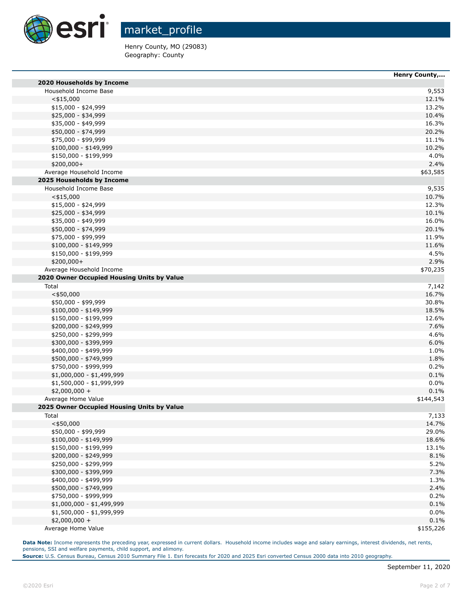

Henry County, MO (29083) Geography: County

|                                            | <b>Henry County,</b> |
|--------------------------------------------|----------------------|
| 2020 Households by Income                  |                      |
| Household Income Base                      | 9,553                |
| $<$ \$15,000                               | 12.1%                |
| $$15,000 - $24,999$                        | 13.2%                |
| \$25,000 - \$34,999                        | 10.4%                |
| \$35,000 - \$49,999                        | 16.3%                |
| \$50,000 - \$74,999                        | 20.2%                |
| \$75,000 - \$99,999                        | 11.1%                |
| $$100,000 - $149,999$                      | 10.2%                |
| \$150,000 - \$199,999                      | 4.0%                 |
| \$200,000+                                 | 2.4%                 |
| Average Household Income                   | \$63,585             |
| 2025 Households by Income                  |                      |
| Household Income Base                      | 9,535                |
| $<$ \$15,000                               | 10.7%                |
| \$15,000 - \$24,999                        | 12.3%                |
| \$25,000 - \$34,999                        | 10.1%                |
| \$35,000 - \$49,999                        | 16.0%                |
| \$50,000 - \$74,999                        | 20.1%                |
| \$75,000 - \$99,999                        | 11.9%                |
| $$100,000 - $149,999$                      | 11.6%                |
| \$150,000 - \$199,999                      | 4.5%                 |
| \$200,000+                                 | 2.9%                 |
| Average Household Income                   | \$70,235             |
| 2020 Owner Occupied Housing Units by Value |                      |
| Total                                      | 7,142                |
| $<$ \$50,000                               | 16.7%                |
| \$50,000 - \$99,999                        | 30.8%                |
| $$100,000 - $149,999$                      | 18.5%                |
| \$150,000 - \$199,999                      | 12.6%                |
| \$200,000 - \$249,999                      | 7.6%                 |
| \$250,000 - \$299,999                      | 4.6%                 |
| \$300,000 - \$399,999                      | 6.0%                 |
| \$400,000 - \$499,999                      | 1.0%                 |
| \$500,000 - \$749,999                      | 1.8%                 |
| \$750,000 - \$999,999                      | 0.2%                 |
| \$1,000,000 - \$1,499,999                  | 0.1%                 |
| \$1,500,000 - \$1,999,999                  | 0.0%                 |
| $$2,000,000 +$                             | 0.1%                 |
| Average Home Value                         | \$144,543            |
| 2025 Owner Occupied Housing Units by Value |                      |
| Total                                      | 7,133                |
| $<$ \$50,000                               | 14.7%                |
| \$50,000 - \$99,999                        | 29.0%                |
| $$100,000 - $149,999$                      | 18.6%                |
| \$150,000 - \$199,999                      | 13.1%                |
| \$200,000 - \$249,999                      | 8.1%                 |
| \$250,000 - \$299,999                      | 5.2%                 |
| \$300,000 - \$399,999                      | 7.3%                 |
| \$400,000 - \$499,999                      | 1.3%                 |
| \$500,000 - \$749,999                      | 2.4%                 |
| \$750,000 - \$999,999                      | 0.2%                 |
| $$1,000,000 - $1,499,999$                  | 0.1%                 |
| \$1,500,000 - \$1,999,999                  | 0.0%                 |
| $$2,000,000 +$                             | 0.1%                 |
| Average Home Value                         | \$155,226            |

Data Note: Income represents the preceding year, expressed in current dollars. Household income includes wage and salary earnings, interest dividends, net rents, pensions, SSI and welfare payments, child support, and alimony.

**Source:** U.S. Census Bureau, Census 2010 Summary File 1. Esri forecasts for 2020 and 2025 Esri converted Census 2000 data into 2010 geography.

F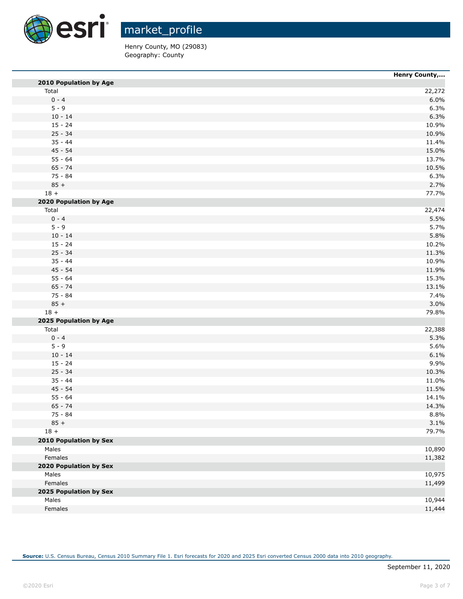

Henry County, MO (29083) Geography: County

|                               | Henry County, |
|-------------------------------|---------------|
| 2010 Population by Age        |               |
| Total                         | 22,272        |
| $0 - 4$                       | 6.0%          |
| $5 - 9$                       | 6.3%          |
| $10 - 14$                     | 6.3%          |
| $15 - 24$                     | 10.9%         |
| $25 - 34$                     | 10.9%         |
| $35 - 44$                     | 11.4%         |
| $45 - 54$                     | 15.0%         |
| $55 - 64$                     | 13.7%         |
| $65 - 74$                     | 10.5%         |
| 75 - 84                       | 6.3%          |
| $85 +$                        | 2.7%          |
| $18 +$                        | 77.7%         |
| 2020 Population by Age        |               |
| Total                         | 22,474        |
| $0 - 4$                       | 5.5%          |
| $5 - 9$                       | 5.7%          |
| $10 - 14$                     | 5.8%          |
| $15 - 24$                     | 10.2%         |
| $25 - 34$                     | 11.3%         |
| $35 - 44$                     | 10.9%         |
| $45 - 54$                     | 11.9%         |
| $55 - 64$                     | 15.3%         |
| $65 - 74$                     | 13.1%         |
| 75 - 84                       | 7.4%          |
| $85 +$                        | 3.0%          |
| $18 +$                        | 79.8%         |
| 2025 Population by Age        |               |
| Total                         | 22,388        |
| $0 - 4$                       | 5.3%          |
| $5 - 9$                       | 5.6%          |
| $10 - 14$                     | 6.1%          |
| $15 - 24$                     | 9.9%          |
| $25 - 34$                     | 10.3%         |
| $35 - 44$                     | 11.0%         |
| $45 - 54$                     | 11.5%         |
| $55 - 64$                     | 14.1%         |
| $65 - 74$                     | 14.3%         |
| 75 - 84                       | 8.8%          |
| $85 +$                        | 3.1%          |
| $18 +$                        | 79.7%         |
| 2010 Population by Sex        |               |
| Males                         | 10,890        |
| Females                       | 11,382        |
| <b>2020 Population by Sex</b> |               |
| Males                         | 10,975        |
| Females                       | 11,499        |
| 2025 Population by Sex        |               |
| Males                         | 10,944        |
| Females                       | 11,444        |
|                               |               |

**Source:** U.S. Census Bureau, Census 2010 Summary File 1. Esri forecasts for 2020 and 2025 Esri converted Census 2000 data into 2010 geography.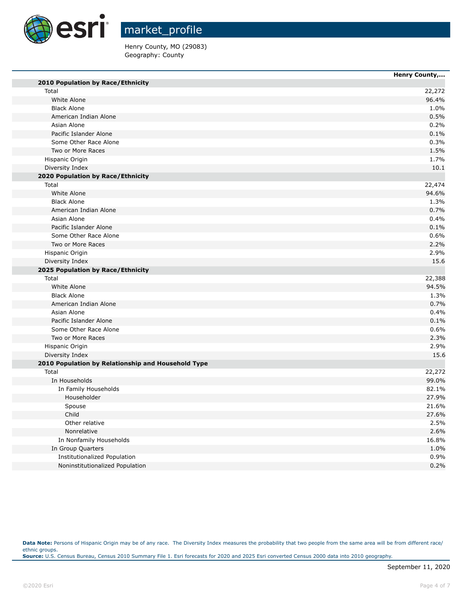

Henry County, MO (29083) Geography: County

|                                                    | Henry County, |
|----------------------------------------------------|---------------|
| 2010 Population by Race/Ethnicity                  |               |
| Total                                              | 22,272        |
| White Alone                                        | 96.4%         |
| <b>Black Alone</b>                                 | 1.0%          |
| American Indian Alone                              | 0.5%          |
| Asian Alone                                        | 0.2%          |
| Pacific Islander Alone                             | 0.1%          |
| Some Other Race Alone                              | 0.3%          |
| Two or More Races                                  | 1.5%          |
| Hispanic Origin                                    | 1.7%          |
| Diversity Index                                    | 10.1          |
| 2020 Population by Race/Ethnicity                  |               |
| Total                                              | 22,474        |
| White Alone                                        | 94.6%         |
| <b>Black Alone</b>                                 | 1.3%          |
| American Indian Alone                              | 0.7%          |
| Asian Alone                                        | 0.4%          |
| Pacific Islander Alone                             | 0.1%          |
| Some Other Race Alone                              | 0.6%          |
| Two or More Races                                  | 2.2%          |
| Hispanic Origin                                    | 2.9%          |
| Diversity Index                                    | 15.6          |
| 2025 Population by Race/Ethnicity                  |               |
| Total                                              | 22,388        |
| White Alone                                        | 94.5%         |
| <b>Black Alone</b>                                 | 1.3%          |
| American Indian Alone                              | 0.7%          |
| Asian Alone                                        | 0.4%          |
| Pacific Islander Alone                             | 0.1%          |
| Some Other Race Alone                              | 0.6%          |
| Two or More Races                                  | 2.3%          |
| Hispanic Origin                                    | 2.9%          |
| Diversity Index                                    | 15.6          |
| 2010 Population by Relationship and Household Type |               |
| Total                                              | 22,272        |
| In Households                                      | 99.0%         |
| In Family Households                               | 82.1%         |
| Householder                                        | 27.9%         |
| Spouse                                             | 21.6%         |
| Child                                              | 27.6%         |
| Other relative                                     | 2.5%          |
| Nonrelative                                        | 2.6%          |
| In Nonfamily Households                            | 16.8%         |
| In Group Quarters                                  | 1.0%          |
| Institutionalized Population                       | 0.9%          |
| Noninstitutionalized Population                    | 0.2%          |

Data Note: Persons of Hispanic Origin may be of any race. The Diversity Index measures the probability that two people from the same area will be from different race/ ethnic groups. **Source:** U.S. Census Bureau, Census 2010 Summary File 1. Esri forecasts for 2020 and 2025 Esri converted Census 2000 data into 2010 geography.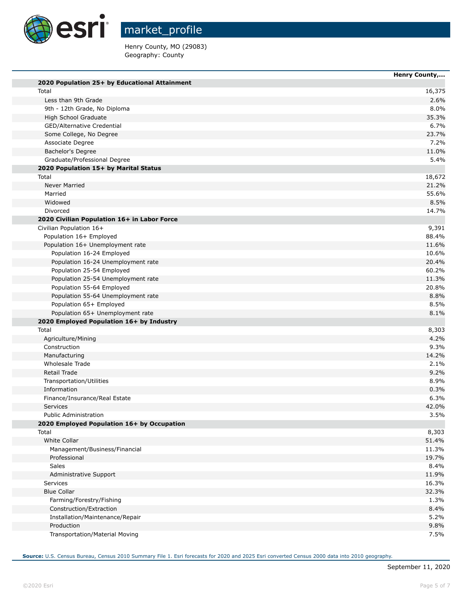

Henry County, MO (29083) Geography: County

|                                               | Henry County, |
|-----------------------------------------------|---------------|
| 2020 Population 25+ by Educational Attainment |               |
| Total                                         | 16,375        |
| Less than 9th Grade                           | 2.6%          |
| 9th - 12th Grade, No Diploma                  | 8.0%          |
| High School Graduate                          | 35.3%         |
| GED/Alternative Credential                    | 6.7%          |
| Some College, No Degree                       | 23.7%         |
| Associate Degree                              | 7.2%          |
| Bachelor's Degree                             | 11.0%         |
| Graduate/Professional Degree                  | 5.4%          |
| 2020 Population 15+ by Marital Status         |               |
| Total                                         | 18,672        |
| Never Married                                 | 21.2%         |
| Married                                       | 55.6%         |
| Widowed                                       | 8.5%          |
| Divorced                                      | 14.7%         |
| 2020 Civilian Population 16+ in Labor Force   |               |
| Civilian Population 16+                       | 9,391         |
| Population 16+ Employed                       | 88.4%         |
| Population 16+ Unemployment rate              | 11.6%         |
| Population 16-24 Employed                     | 10.6%         |
| Population 16-24 Unemployment rate            | 20.4%         |
| Population 25-54 Employed                     | 60.2%         |
| Population 25-54 Unemployment rate            | 11.3%         |
| Population 55-64 Employed                     | 20.8%         |
| Population 55-64 Unemployment rate            | 8.8%          |
| Population 65+ Employed                       | 8.5%          |
| Population 65+ Unemployment rate              | 8.1%          |
| 2020 Employed Population 16+ by Industry      |               |
| Total                                         | 8,303         |
| Agriculture/Mining                            | 4.2%          |
| Construction                                  | 9.3%          |
| Manufacturing                                 | 14.2%         |
| Wholesale Trade                               | 2.1%          |
| Retail Trade                                  | 9.2%          |
| Transportation/Utilities                      | 8.9%          |
| Information                                   | 0.3%          |
| Finance/Insurance/Real Estate                 | 6.3%          |
| <b>Services</b>                               | 42.0%         |
| <b>Public Administration</b>                  | 3.5%          |
| 2020 Employed Population 16+ by Occupation    |               |
| Total                                         | 8,303         |
| White Collar                                  | 51.4%         |
| Management/Business/Financial                 | 11.3%         |
| Professional                                  | 19.7%         |
| <b>Sales</b>                                  | 8.4%          |
| Administrative Support                        | 11.9%         |
| <b>Services</b>                               | 16.3%         |
| <b>Blue Collar</b>                            | 32.3%         |
| Farming/Forestry/Fishing                      | 1.3%          |
| Construction/Extraction                       | 8.4%          |
| Installation/Maintenance/Repair               | 5.2%          |
| Production                                    | 9.8%          |
| Transportation/Material Moving                | 7.5%          |

**Source:** U.S. Census Bureau, Census 2010 Summary File 1. Esri forecasts for 2020 and 2025 Esri converted Census 2000 data into 2010 geography.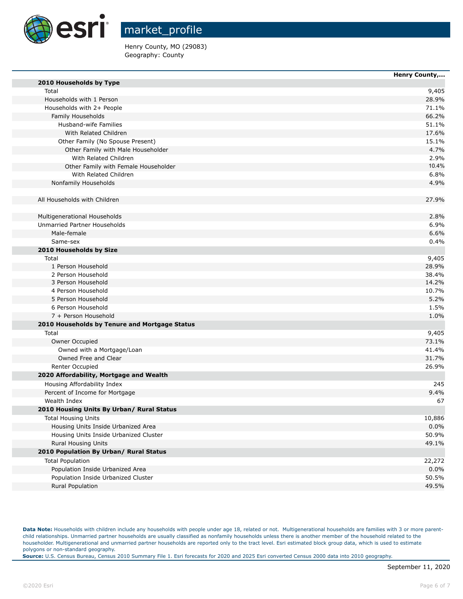

Henry County, MO (29083) Geography: County

|                                               | Henry County, |
|-----------------------------------------------|---------------|
| 2010 Households by Type                       |               |
| Total                                         | 9,405         |
| Households with 1 Person                      | 28.9%         |
| Households with 2+ People                     | 71.1%         |
| Family Households                             | 66.2%         |
| Husband-wife Families                         | 51.1%         |
| With Related Children                         | 17.6%         |
| Other Family (No Spouse Present)              | 15.1%         |
| Other Family with Male Householder            | 4.7%          |
| With Related Children                         | 2.9%          |
| Other Family with Female Householder          | 10.4%         |
| With Related Children                         | 6.8%          |
| Nonfamily Households                          | 4.9%          |
| All Households with Children                  | 27.9%         |
| Multigenerational Households                  | 2.8%          |
| Unmarried Partner Households                  | 6.9%          |
| Male-female                                   | 6.6%          |
| Same-sex                                      | 0.4%          |
| 2010 Households by Size                       |               |
| Total                                         | 9,405         |
| 1 Person Household                            | 28.9%         |
| 2 Person Household                            | 38.4%         |
| 3 Person Household                            | 14.2%         |
| 4 Person Household                            | 10.7%         |
| 5 Person Household                            | 5.2%          |
| 6 Person Household                            | 1.5%          |
| 7 + Person Household                          | 1.0%          |
| 2010 Households by Tenure and Mortgage Status |               |
| Total                                         | 9,405         |
| Owner Occupied                                | 73.1%         |
| Owned with a Mortgage/Loan                    | 41.4%         |
| Owned Free and Clear                          | 31.7%         |
| Renter Occupied                               | 26.9%         |
| 2020 Affordability, Mortgage and Wealth       |               |
| Housing Affordability Index                   | 245           |
| Percent of Income for Mortgage                | 9.4%          |
| Wealth Index                                  | 67            |
| 2010 Housing Units By Urban/ Rural Status     |               |
| <b>Total Housing Units</b>                    | 10,886        |
| Housing Units Inside Urbanized Area           | 0.0%          |
| Housing Units Inside Urbanized Cluster        | 50.9%         |
| Rural Housing Units                           | 49.1%         |
| 2010 Population By Urban/ Rural Status        |               |
| <b>Total Population</b>                       | 22,272        |
| Population Inside Urbanized Area              | 0.0%          |
| Population Inside Urbanized Cluster           | 50.5%         |
| Rural Population                              | 49.5%         |
|                                               |               |

Data Note: Households with children include any households with people under age 18, related or not. Multigenerational households are families with 3 or more parentchild relationships. Unmarried partner households are usually classified as nonfamily households unless there is another member of the household related to the householder. Multigenerational and unmarried partner households are reported only to the tract level. Esri estimated block group data, which is used to estimate polygons or non-standard geography.

**Source:** U.S. Census Bureau, Census 2010 Summary File 1. Esri forecasts for 2020 and 2025 Esri converted Census 2000 data into 2010 geography.